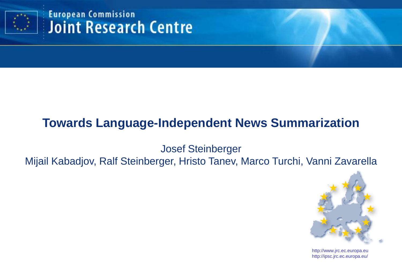

**European Commission** TAC'11– 14 November 2011 1922 - 14 November 2012 - 14 November 2012 - 14 November 2012 - 14 November 2012 - 14

# **Towards Language-Independent News Summarization**

Josef Steinberger

Mijail Kabadjov, Ralf Steinberger, Hristo Tanev, Marco Turchi, Vanni Zavarella



http://www.jrc.ec.europa.eu http://ipsc.jrc.ec.europa.eu/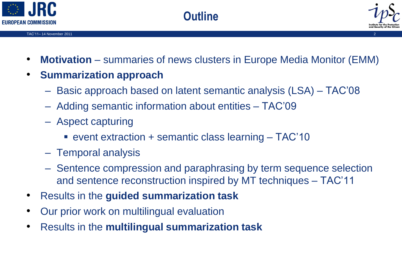



• **Motivation** – summaries of news clusters in Europe Media Monitor (EMM)

**Outline**

- **Summarization approach**
	- Basic approach based on latent semantic analysis (LSA) TAC'08
	- Adding semantic information about entities TAC'09
	- Aspect capturing
		- event extraction + semantic class learning TAC'10
	- Temporal analysis
	- Sentence compression and paraphrasing by term sequence selection and sentence reconstruction inspired by MT techniques – TAC'11
- Results in the **guided summarization task**
- Our prior work on multilingual evaluation
- Results in the **multilingual summarization task**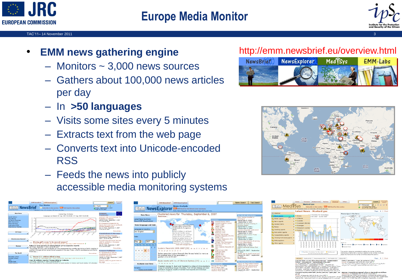

## **Europe Media Monitor**



#### TAC'11– 14 November 2011 3

## • **EMM news gathering engine**

- Monitors ~ 3,000 news sources
- Gathers about 100,000 news articles per day
- In **>50 languages**
- Visits some sites every 5 minutes
- Extracts text from the web page
- Converts text into Unicode-encoded RSS
- Feeds the news into publicly accessible media monitoring systems

|                                                                                                                                                                            | <b>EMM NewsFxplorer</b><br><b>EMM NewsBrief</b><br><b>Top Stories</b>                                                                                                                                                                                   |               | Adva<br>Search<br>sea                                                                                                                                                                                                            |
|----------------------------------------------------------------------------------------------------------------------------------------------------------------------------|---------------------------------------------------------------------------------------------------------------------------------------------------------------------------------------------------------------------------------------------------------|---------------|----------------------------------------------------------------------------------------------------------------------------------------------------------------------------------------------------------------------------------|
| <b>ETTITTI NewsBrief</b>                                                                                                                                                   | Subscribe to this section <b>USS</b> RGS fead for this section<br>Updated every 10 minutes, 24 hours per day.                                                                                                                                           | en - English  | a Priday, September 7, 2007<br>2:35:19 PM CEST                                                                                                                                                                                   |
| <b>Hain Henu</b><br>World Edition<br><b>Ton Stories</b><br>24 Hours Overview<br><b>FMM Panorama</b><br><b>Press Reviews</b><br>Help about EMM<br><b>Most Artisa Themas</b> | Current top 10 stories<br>Language: en Period: 07-Sep-2007 02:20:00 - 07-Sep-2007 14:20:00<br>Previous<br>64<br>40<br>Dont of<br>22                                                                                                                     |               | European<br>Commission<br>Assistant High Commissioner<br>Protection in Lebanon<br>alertnet Friday, September 7, 200<br>2-12-00 PM CEST<br>EU-Disasters/Climate/UN/ EU<br>issues storm warning as world<br>climate disasters grow |
| <b>FU Focus</b><br><b>Directorates-Ceneral</b>                                                                                                                             | šés<br>16                                                                                                                                                                                                                                               |               | dpa-en Friday, September 7, 200.<br><b>1-49-00 PM CEST</b><br><b>More artic</b><br><b>Commissioners in the new</b><br>Barroso schützt Verheusen<br>wienerzeitung Fridey, September<br>2007 1:29:00 PM CEST                       |
| <b>Themes</b>                                                                                                                                                              | Missing girl's mom 'to be named suspect'<br>Articles: 105. Lest update: Sep 7, 2007 2:09:00 PM, Start: Sep 7, 2007 4:16:00 AM &<br>Police to name parents of missing British girl as suspects: reports<br>CBC Friday, September 7, 2007 2:09:00 PM CEST |               | EU-Diplomacy/Romania/ Barn<br>calls for solidarity in European<br>energy market<br>dpa-en Friday, September 7, 200.<br>10:53:00 AN CEST                                                                                          |
|                                                                                                                                                                            | The parents of a four-year-old British girl who disappeared four months ago during a family vacation in<br>southern Portugal will be named formal suspects in the case Friday, a family spokesperson and family<br>friend say                           |               | Mona artin<br><b>European Parliament</b>                                                                                                                                                                                         |
| <b>The World</b>                                                                                                                                                           |                                                                                                                                                                                                                                                         | Mora articles | EU representative calls for<br>constitutional reform after                                                                                                                                                                       |
| <b>European Union</b><br><b>Furope (Other)</b>                                                                                                                             | Seven U.S. soldiers killed in Iraq<br>Articles: 36. Last update: Sep 7, 2007 2:19:00 PM, Start: Sep 7, 2007 8:41:00 AM &                                                                                                                                |               | Ukrainian elections<br>interfax-en Friday, September 7.<br>2:27:00 PM CEST                                                                                                                                                       |
| Ania<br><b>Middle East</b><br><b>North America</b>                                                                                                                         | Iraq: US military reports 7 troops killed in 2 attacks<br>toost Friday, September 7, 2007 2:10:00 PM CEST 1<br>Incurrently blow up has currently bridge on made leading to borlan and Saudi Arabia: US allocates                                        |               | Sarkozy takes his governmen<br>the road<br>.                                                                                                                                                                                     |



### http://emm.newsbrief.eu/overview.html





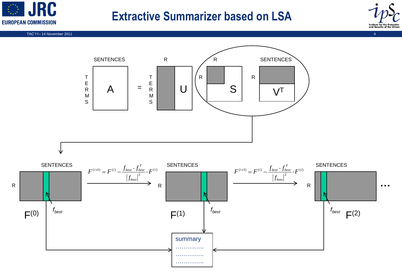

## **Extractive Summarizer based on LSA**



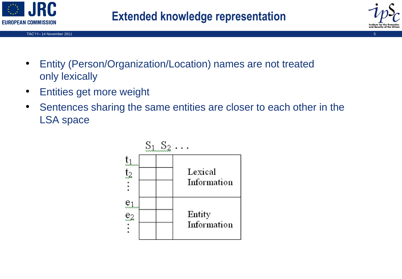

TAC'11–14 November 2011 Sammen Andre States and States and States and States and States and States and States and States and States and States and States and States and States and States and States and States and States an



- Entity (Person/Organization/Location) names are not treated only lexically
- Entities get more weight
- Sentences sharing the same entities are closer to each other in the LSA space

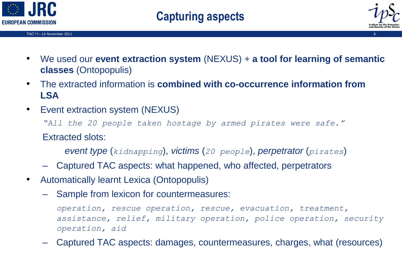

TAC'11– 14 November 2011 6



- We used our **event extraction system** (NEXUS) + **a tool for learning of semantic classes** (Ontopopulis)
- The extracted information is **combined with co-occurrence information from LSA**
- Event extraction system (NEXUS)

*"All the 20 people taken hostage by armed pirates were safe."* 

Extracted slots:

*event type* (*kidnapping*), *victims* (*20 people*), *perpetrator* (*pirates*)

- Captured TAC aspects: what happened, who affected, perpetrators
- Automatically learnt Lexica (Ontopopulis)
	- Sample from lexicon for countermeasures:

*operation, rescue operation, rescue, evacuation, treatment, assistance, relief, military operation, police operation, security operation, aid*

– Captured TAC aspects: damages, countermeasures, charges, what (resources)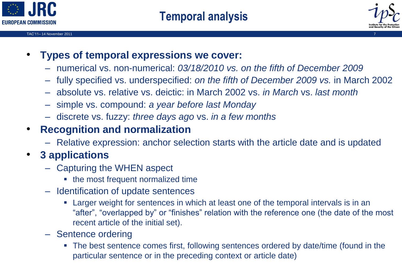



- **Types of temporal expressions we cover:**
	- numerical vs. non-numerical: *03/18/2010 vs. on the fifth of December 2009*
	- fully specified vs. underspecified: *on the fifth of December 2009 vs.* in March 2002
	- absolute vs. relative vs. deictic: in March 2002 vs. *in March* vs. *last month*
	- simple vs. compound: *a year before last Monday*
	- discrete vs. fuzzy: *three days ago* vs. *in a few months*

## • **Recognition and normalization**

– Relative expression: anchor selection starts with the article date and is updated

## • **3 applications**

- Capturing the WHEN aspect
	- the most frequent normalized time
- Identification of update sentences
	- Larger weight for sentences in which at least one of the temporal intervals is in an "after", "overlapped by" or "finishes" relation with the reference one (the date of the most recent article of the initial set).
- Sentence ordering
	- The best sentence comes first, following sentences ordered by date/time (found in the particular sentence or in the preceding context or article date)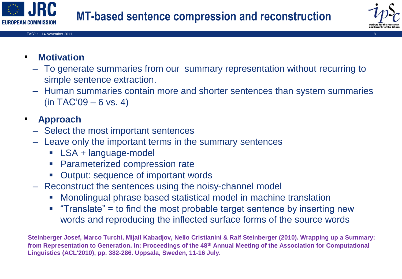





- **Motivation**
	- To generate summaries from our summary representation without recurring to simple sentence extraction.
	- Human summaries contain more and shorter sentences than system summaries (in TAC'09 – 6 vs. 4)

## • **Approach**

- Select the most important sentences
- Leave only the important terms in the summary sentences
	- **LSA + language-model**
	- **Parameterized compression rate**
	- Output: sequence of important words
- Reconstruct the sentences using the noisy-channel model
	- Monolingual phrase based statistical model in machine translation
	- **Translate"** = to find the most probable target sentence by inserting new words and reproducing the inflected surface forms of the source words

**Steinberger Josef, Marco Turchi, Mijail Kabadjov, Nello Cristianini & Ralf Steinberger (2010). Wrapping up a Summary: from Representation to Generation. In: Proceedings of the 48th Annual Meeting of the Association for Computational Linguistics (ACL'2010), pp. 382-286. Uppsala, Sweden, 11-16 July.**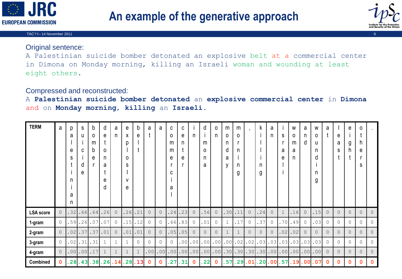



#### TAC'11– 14 November 2011 9

### Original sentence:

A Palestinian suicide bomber detonated an explosive belt at a commercial center in Dimona on Monday morning, killing an Israeli woman and wounding at least eight others.

### Compressed and reconstructed:

A **Palestinian suicide bomber detonated** an **explosive commercial center** in **Dimona** and on **Monday morning**, **killing** an **Israeli**.

| <b>TERM</b>      | a              | p<br>a<br>e<br>S<br>n<br>a<br>n | S<br>u<br>C<br>d<br>e | b<br>0<br>m<br>b<br>e | d<br>е<br>0<br>n<br>a<br>е<br>d | a<br>n         | e<br>X<br>D<br>$\Omega$<br>S<br>v<br>e | b<br>е   | a            | a                | C<br>0<br>m<br>m<br>e<br>C<br>а | C<br>е<br>n<br>e | n                | d<br>m<br>0<br>n<br>a | $\circ$<br>n | m<br>0<br>n<br>d<br>a<br>v | m<br>$\Omega$<br>n<br>n<br>g |                | k<br>n<br>g | а<br>n          | S<br>a<br>е | W<br>0<br>m<br>a<br>n | a<br>n<br>d | W<br>0<br>u<br>n<br>d<br>n<br>g | а              | e<br>a<br>S    | e<br>g   | 0<br>h<br>e<br>S |                |
|------------------|----------------|---------------------------------|-----------------------|-----------------------|---------------------------------|----------------|----------------------------------------|----------|--------------|------------------|---------------------------------|------------------|------------------|-----------------------|--------------|----------------------------|------------------------------|----------------|-------------|-----------------|-------------|-----------------------|-------------|---------------------------------|----------------|----------------|----------|------------------|----------------|
| <b>LSA</b> score | $\overline{0}$ | 32                              | 66                    | .64                   | .26                             | $\overline{0}$ | .26                                    | 21       | $\circ$      | $\circ$          | 24                              | .23              | $\mathbf{0}$     | 56                    | $\circ$      | 30                         | .11                          | $\mathbf{0}$   | 24          | $\circ$         |             | .16                   | $\circ$     | 15                              | $\overline{0}$ | $\overline{0}$ | $\Omega$ | $\circ$          | $\overline{0}$ |
| 1-gram           | $\circ$        | 59                              | 26                    | .07                   | .07                             | $\circ$        | .15                                    | 12       | $\circ$      | $\Omega$         | 66                              | .83              | $\mathbf{0}$     | .01                   | $\circ$      |                            | .17                          | $\circ$        | 37          | $\circ$         | .70         | .49                   | $\circ$     | .03                             | 0              | $\mathbf{0}$   | $\Omega$ | 0                | $\mathbf{0}$   |
| 2-gram           | $\overline{0}$ | 02                              | 37                    | .37                   | .01                             | $\overline{0}$ | .01                                    | .01      | $\circ$      | $\circ$          | .05                             | .05              | $\overline{0}$   | $\overline{0}$        | $\circ$      | $\mathbf 1$                | $\mathbf{1}$                 | $\overline{0}$ | $\circ$     | $\circ$         | .02         | .02                   | $\circ$     | $\overline{0}$                  | $\circ$        | $\overline{0}$ | $\Omega$ | $\circ$          | $\overline{0}$ |
| 3-gram           | $\circ$        | . 02                            | .31                   | .31                   | $\mathbf{1}$                    | $\mathbf{1}$   | $\mathbf{1}$                           | $\Omega$ | $\Omega$     | $\Omega$         | $\Omega$                        | .00              | .00 <sub>1</sub> | .00                   |              | $.00$ .00                  | .02                          | .02            | .03         | .03             | .03         | .03                   | .03         | .03                             | $\Omega$       | $\Omega$       | $\Omega$ | $\circ$          | $\mathbf{0}$   |
| 4-gram           | $\overline{0}$ | 00                              | .00                   | .17                   | $\mathbf{1}$                    | $\mathbf 1$    | $\mathbf{1}$                           |          | .00          | .00 <sub>l</sub> | .00                             |                  | $.00$ .00        |                       |              | $.00$ .00.30.30.30         |                              |                |             | .30   .00   .00 |             | .00                   | .00         | .00                             | $\overline{0}$ | $\overline{0}$ | $\Omega$ | $\circ$          | $\circ$        |
| Combined         | 0              | 28                              | .43                   | .38                   | .26                             | 14             | .28                                    | 13       | $\mathbf{0}$ | $\Omega$         | 27                              | 31               | $\mathbf 0$      | 22                    | $\mathbf{0}$ | 57                         | .29                          | .01            | 20          | . 00            | 57          | .19                   | . 00        | 07                              | $\Omega$       | $\mathbf 0$    | O.       | $\mathbf 0$      | $\Omega$       |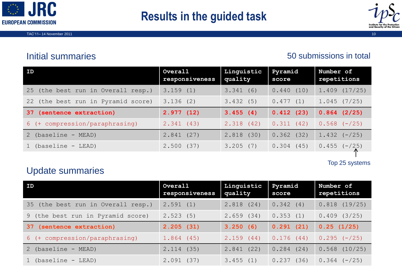



## Initial summaries

### 50 submissions in total

| ID                                 | Overall<br>responsiveness | Linguistic<br>quality | Pyramid<br>score | Number of<br>repetitions |
|------------------------------------|---------------------------|-----------------------|------------------|--------------------------|
| 25 (the best run in Overall resp.) | 3.159(1)                  | 3.341(6)              | 0.440(10)        | $1.409$ $(17/25)$        |
| 22 (the best run in Pyramid score) | 3.136(2)                  | 3.432(5)              | 0.477(1)         | 1.045(7/25)              |
| (sentence extraction)<br>37.       | 2.977(12)                 | 3.455(4)              | 0.412(23)        | $0.864$ $(2/25)$         |
| 6 (+ compression/paraphrasing)     | 2.341(43)                 | 2.318(42)             | 0.311(42)        | $0.568 (-/25)$           |
| 2 (baseline - MEAD)                | 2.841(27)                 | 2.818(30)             | 0.362<br>(32)    | $1.432 (-/25)$           |
| 1 (baseline - LEAD)                | 2.500(37)                 | 3.205(7)              | 0.304<br>(45)    | $0.455 (-/25)$           |

Top 25 systems

### Update summaries

| <b>ID</b>                          | Overall<br>responsiveness | Linguistic<br>quality | Pyramid<br>score | Number of<br>repetitions |
|------------------------------------|---------------------------|-----------------------|------------------|--------------------------|
| 35 (the best run in Overall resp.) | 2.591(1)                  | 2.818(24)             | 0.342(4)         | $0.818$ $(19/25)$        |
| 9 (the best run in Pyramid score)  | 2.523(5)                  | 2.659(34)             | 0.353(1)         | 0.409(3/25)              |
| 37 (sentence extraction)           | 2.205(31)                 | 3.250(6)              | 0.291(21)        | 0.25(1/25)               |
| 6 (+ compression/paraphrasing)     | 1.864(45)                 | 2.159(44)             | 0.176(44)        | $0.295 (-/25)$           |
| 2 (baseline - MEAD)                | 2.114(35)                 | 2.841(22)             | 0.284<br>(24)    | $0.568$ $(10/25)$        |
| 1 (baseline - LEAD)                | 2.091<br>(37)             | 3.455(1)              | (36)<br>0.237    | $0.364 (-/25)$           |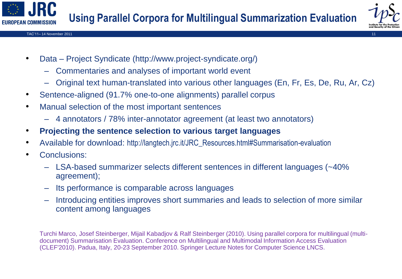

- Data Project Syndicate (http://www.project-syndicate.org/)
	- Commentaries and analyses of important world event
	- Original text human-translated into various other languages (En, Fr, Es, De, Ru, Ar, Cz)
- Sentence-aligned (91.7% one-to-one alignments) parallel corpus
- Manual selection of the most important sentences
	- 4 annotators / 78% inter-annotator agreement (at least two annotators)
- **Projecting the sentence selection to various target languages**
- Available for download: http://langtech.jrc.it/JRC\_Resources.html#Summarisation-evaluation
- Conclusions:
	- LSA-based summarizer selects different sentences in different languages (~40% agreement);
	- Its performance is comparable across languages
	- Introducing entities improves short summaries and leads to selection of more similar content among languages

Turchi Marco, Josef Steinberger, Mijail Kabadjov & Ralf Steinberger (2010). Using parallel corpora for multilingual (multidocument) Summarisation Evaluation. Conference on Multilingual and Multimodal Information Access Evaluation (CLEF'2010). Padua, Italy, 20-23 September 2010. Springer Lecture Notes for Computer Science LNCS.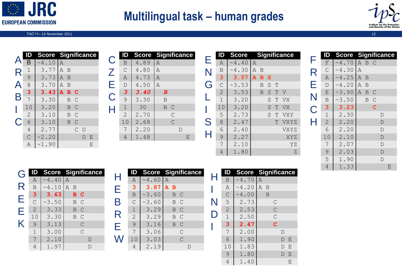

# **Multilingual task – human grades**



#### TAC'11– 14 November 2011 12

|                         |                | <b>Score Significance</b> |                         |              |               |             |   |
|-------------------------|----------------|---------------------------|-------------------------|--------------|---------------|-------------|---|
| $\blacktriangle$        | Β              | ~10                       | $\overline{A}$          |              |               |             |   |
| R                       | $\mathbf 1$    | 3.77                      | A                       | B            |               |             |   |
|                         | 9              | 3.73                      | A                       | B            |               |             |   |
| $\Delta$                | $\overline{8}$ | 3.70                      | $\mathbb{A}$            | B            |               |             |   |
|                         | 3              | 3.43                      | $\overline{\mathbf{A}}$ | $\mathbf{B}$ | C             |             |   |
| $\overline{\mathsf{B}}$ | $\overline{7}$ | 3.30                      |                         | B            | $\mathcal{C}$ |             |   |
|                         | 10             | 3.20                      |                         | B            | $\mathcal{C}$ |             |   |
|                         | $\mathbf 2$    | 3.10                      |                         | B            | $\mathcal{C}$ |             |   |
| C                       | 6              | 3.10                      |                         | B            | $\mathcal{C}$ |             |   |
|                         | $\overline{4}$ | 2.77                      |                         |              | $\mathcal{C}$ | $\mathbb D$ |   |
|                         | $\overline{C}$ | ~2.20                     |                         |              |               | D           | Ε |
|                         | A              | ~1.90                     |                         |              |               |             | Ε |

|              |                |      | <b>Score Significance</b> |
|--------------|----------------|------|---------------------------|
| $\mathsf{C}$ | $\, {\bf B}$   | 4.89 | $\mathbb{A}$              |
|              | $\overline{C}$ | 4.80 | $\overline{A}$            |
| Z<br>E       | $\overline{A}$ | 4.73 | A                         |
|              | $\mathbf D$    | 4.50 | $\overline{A}$            |
|              | 3              | 3.40 | $\boldsymbol{B}$          |
| C<br>H       | 9              | 3.30 | B                         |
|              | $\mathbf 1$    | 30   | B<br>$\mathsf{C}$         |
|              | $\overline{2}$ | 2.70 | $\mathcal{C}$             |
|              | 10             | 2.68 | $\overline{C}$            |
|              | 7              | 2.20 | D                         |
|              | 4              | 1.48 | Ε                         |

|   |                | <b>Score</b>    |              |   |   |   | <b>Significance</b> |
|---|----------------|-----------------|--------------|---|---|---|---------------------|
| Е | Α              | ~1.40           | $\mathbb{A}$ |   |   |   |                     |
| N | $\mathbf B$    | .30<br>$\sim$ 4 | Α            | B |   |   |                     |
|   | 3              | 3.57            | А            | B | S |   |                     |
| Ġ | $\mathcal{C}$  | ~23.53          |              | B | S | Τ |                     |
|   | $\overline{c}$ | 3.53            |              | B | S | т | V                   |
|   | $\overline{1}$ | 3.20            |              |   | S | Т | VX                  |
|   | 10             | 3.20            |              |   | S | т | VX                  |
|   | 5              | 2.73            |              |   | S | Т | VXY                 |
| S | 8              | 2.47            |              |   |   | т | VXYZ                |
| Н | $\sqrt{6}$     | 2.40            |              |   |   |   | VXYZ                |
|   | 9              | 2.27            |              |   |   |   | XYZ                 |
|   | $\overline{7}$ | 2.10            |              |   |   |   | ΥZ                  |
|   | 4              | 1.80            |              |   |   |   | Ζ                   |

|       |                | <b>Score</b>      |             |                |               | <b>Significance</b> |
|-------|----------------|-------------------|-------------|----------------|---------------|---------------------|
| F     | $\mathbf F$    | ~1.70             | Α           | B C            |               |                     |
|       | $\overline{C}$ | ~1.30             | Α           |                |               |                     |
|       | $\overline{A}$ | ~1.25             | $\mathbb A$ | B              |               |                     |
|       | $\overline{D}$ | ~1.20             | A           | $\overline{B}$ |               |                     |
| RENCH | $\overline{E}$ | ~1.90             | A           | $\mathbf B$    | $\mathcal{C}$ |                     |
|       | $\mathsf B$    | ~1.50             |             | B              | $\mathsf{C}$  |                     |
|       | 3              | 3.23              |             |                | d             |                     |
|       |                | 2.30              |             |                |               | $\mathbb D$         |
|       | $\frac{1}{2}$  | 2.20              |             |                |               | $\mathbf D$         |
|       |                | 2.20              |             |                |               | $\mathbf D$         |
|       | 10             | 2.10              |             |                |               | $\mathbf{D}$        |
|       | $\overline{7}$ | 2.07              |             |                |               | $\mathbf D$         |
|       |                | 2.03              |             |                |               | $\overline{D}$      |
|       | $\frac{9}{4}$  | $\mathbf 1$<br>90 |             |                |               | $\overline{D}$      |
|       |                | 1.33              |             |                |               | Ε                   |

| G                       |                |                |                |                | <b>Score Significance</b> |
|-------------------------|----------------|----------------|----------------|----------------|---------------------------|
|                         | A              | $~\sim 4$ . 40 | A              |                |                           |
| R                       | $\mathbf B$    | ~10            | $\overline{A}$ | $\overline{B}$ |                           |
|                         | 3              | 3.63           |                | в              | C                         |
|                         | $\overline{C}$ | ~23.50         |                | B              | $\mathcal{C}$             |
| E<br>E                  | $\overline{c}$ | 3.33           |                | B              | $\mathcal{C}$             |
| $\overline{\mathsf{k}}$ | 10             | 3.30           |                | B              | $\overline{C}$            |
|                         | 9              | 3.13           |                |                | $\mathcal{C}$             |
|                         | $\mathbf 1$    | 3.00           |                |                | $\overline{C}$            |
|                         | $\overline{7}$ | 2.10           |                |                | D                         |
|                         |                | 1.97           |                |                |                           |

|         |                |        | <b>Score Significance</b>   |
|---------|----------------|--------|-----------------------------|
| Н       | Α              | ~1.60  | $\mathbb{A}$                |
| Е       | 3              | 3.87   | $\mathbf{A}$<br>$\mathbf B$ |
|         | $\mathbf B$    | ~23.60 | $\mathcal{C}$<br>B          |
| $\sf B$ | $\mathsf{C}$   | ~23.60 | $\overline{C}$<br>B         |
|         | $1\,$          | 3.29   | $\mathcal{C}$<br>B          |
| R       | $\overline{2}$ | 3.29   | $\mathcal{C}$<br>B          |
| E       | 9              | 3.16   | $\mathcal{C}$<br>B          |
|         | $\overline{7}$ | 3.06   | $\mathcal{C}$               |
|         | 10             | 3.03   | $\overline{C}$              |
|         |                | 2.19   |                             |

|                |       | <b>Score Significance</b> |
|----------------|-------|---------------------------|
| $\mathbf B$    | ~1.70 | $\overline{A}$            |
| A              | ~1.20 | A<br>B                    |
| $\mathsf{C}$   | ~1.00 | B                         |
| 5              | 2.73  | C                         |
| $\overline{2}$ | 2.53  | $\mathsf{C}$              |
| $\overline{1}$ | 2.50  | $\overline{C}$            |
| 3              | 2.47  | Ć                         |
| $\overline{7}$ | 2.00  | D                         |
| $\overline{6}$ | 1.90  | Ε<br>D                    |
| 10             | 1.83  | Ε<br>D                    |
| 9              | 1.80  | Ε<br>D                    |
| 4              | 1.40  | Ε                         |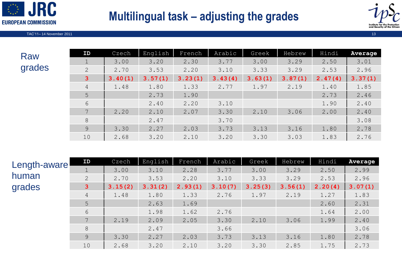

# **Multilingual task – adjusting the grades**



TAC'11–14 November 2011 13 November 2011 13 November 2011 13 November 2013 13 November 2011 13 November 2011 13

| Raw    |  |
|--------|--|
| grades |  |

| ID           | Czech   | English | French  | Arabic  | Greek   | Hebrew  | Hindi   | Average |
|--------------|---------|---------|---------|---------|---------|---------|---------|---------|
|              | 3.00    | 3.20    | 2.30    | 3.77    | 3.00    | 3.29    | 2.50    | 3.01    |
| 2            | 2.70    | 3.53    | 2.20    | 3.10    | 3.33    | 3.29    | 2.53    | 2.96    |
| $\mathbf{3}$ | 3.40(1) | 3.57(1) | 3.23(1) | 3.43(4) | 3.63(1) | 3.87(1) | 2.47(4) | 3.37(1) |
| 4            | 1.48    | 1.80    | 1.33    | 2.77    | 1.97    | 2.19    | 1.40    | 1.85    |
| 5            |         | 2.73    | 1.90    |         |         |         | 2.73    | 2.46    |
| 6            |         | 2.40    | 2.20    | 3.10    |         |         | 1.90    | 2.40    |
| $7^{\circ}$  | 2.20    | 2.10    | 2.07    | 3.30    | 2.10    | 3.06    | 2.00    | 2.40    |
| 8            |         | 2.47    |         | 3.70    |         |         |         | 3.08    |
| 9            | 3.30    | 2.27    | 2.03    | 3.73    | 3.13    | 3.16    | 1.80    | 2.78    |
| 10           | 2.68    | 3.20    | 2.10    | 3.20    | 3.30    | 3.03    | 1.83    | 2.76    |

| Length-aware | ID             | Czech   | English | French  | Arabic  | Greek   | Hebrew  | Hindi   | Average |
|--------------|----------------|---------|---------|---------|---------|---------|---------|---------|---------|
|              |                | 3.00    | 3.10    | 2.28    | 3.77    | 3.00    | 3.29    | 2.50    | 2.99    |
| human        | $\mathbf{2}$   | 2.70    | 3.53    | 2.20    | 3.10    | 3.33    | 3.29    | 2.53    | 2.96    |
| grades       | 3              | 3.15(2) | 3.31(2) | 2.93(1) | 3.10(7) | 3.25(3) | 3.56(1) | 2.20(4) | 3.07(1) |
|              | $\overline{4}$ | 1.48    | 1.80    | 1.33    | 2.76    | 1.97    | 2.19    | 1.27    | 1.83    |
|              | 5              |         | 2.63    | 1.69    |         |         |         | 2.60    | 2.31    |
|              | 6              |         | 1.98    | 1.62    | 2.76    |         |         | 1.64    | 2.00    |
|              | 7              | 2.19    | 2.09    | 2.05    | 3.30    | 2.10    | 3.06    | 1.99    | 2.40    |
|              | $8\,$          |         | 2.47    |         | 3.66    |         |         |         | 3.06    |
|              | 9              | 3.30    | 2.27    | 2.03    | 3.73    | 3.13    | 3.16    | 1.80    | 2.78    |
|              | 10             | 2.68    | 3.20    | 2.10    | 3.20    | 3.30    | 2.85    | 1.75    | 2.73    |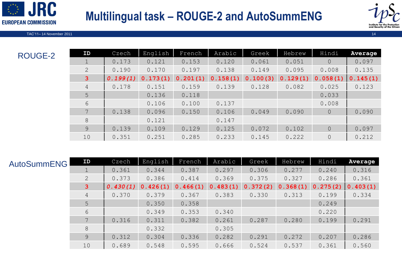# **Multilingual task – ROUGE-2 and AutoSummENG**



TAC'11– 14 November 2011 14

ROUGE-2

**EUROPEAN COMMISSION** 

**JRC** 

| ID             | Czech    | English  | French   | Arabic   | Greek    | Hebrew   | Hindi          | Average  |
|----------------|----------|----------|----------|----------|----------|----------|----------------|----------|
| $\mathbf 1$    | 0.173    | 0.121    | 0.153    | 0.120    | 0.061    | 0.051    | $\Omega$       | 0.097    |
| $\overline{2}$ | 0.190    | 0.170    | 0.197    | 0.138    | 0.149    | 0.095    | 0.008          | 0.135    |
| 3 <sup>1</sup> | 0.199(1) | 0.173(1) | 0.201(1) | 0.158(1) | 0.100(3) | 0.129(1) | 0.058(1)       | 0.145(1) |
| $\overline{4}$ | 0.178    | 0.151    | 0.159    | 0.139    | 0.128    | 0.082    | 0.025          | 0.123    |
| 5              |          | 0.136    | 0.118    |          |          |          | 0.033          |          |
| 6              |          | 0.106    | 0.100    | 0.137    |          |          | 0.008          |          |
| 7              | 0.138    | 0.096    | 0.150    | 0.106    | 0.049    | 0.090    | $\overline{0}$ | 0.090    |
| 8              |          | 0.121    |          | 0.147    |          |          |                |          |
| 9              | 0.139    | 0.109    | 0.129    | 0.125    | 0.072    | 0.102    | $\overline{0}$ | 0.097    |
| 10             | 0.351    | 0.251    | 0.285    | 0.233    | 0.145    | 0.222    | $\overline{0}$ | 0.212    |

| <b>AutoSummENG</b> | ID                          | Czech    | English  | French   | Arabic   | Greek    | Hebrew   | Hindi    | Average  |
|--------------------|-----------------------------|----------|----------|----------|----------|----------|----------|----------|----------|
|                    |                             | 0.361    | 0.344    | 0.387    | 0.297    | 0.306    | 0.277    | 0.240    | 0.316    |
|                    | $\mathcal{D}_{\mathcal{L}}$ | 0.373    | 0.386    | 0.414    | 0.369    | 0.375    | 0.327    | 0.286    | 0.361    |
|                    | 3                           | 0.430(1) | 0.426(1) | 0.466(1) | 0.483(1) | 0.372(2) | 0.368(1) | 0.275(2) | 0.403(1) |
|                    | 4                           | 0.370    | 0.379    | 0.367    | 0.383    | 0.330    | 0.313    | 0.199    | 0.334    |
|                    | 5                           |          | 0.350    | 0.358    |          |          |          | 0.249    |          |
|                    | 6                           |          | 0.349    | 0.353    | 0.340    |          |          | 0.220    |          |
|                    |                             | 0.316    | 0.311    | 0.382    | 0.261    | 0.287    | 0.280    | 0.199    | 0.291    |
|                    | 8                           |          | 0.332    |          | 0.305    |          |          |          |          |
|                    | 9                           | 0.312    | 0.304    | 0.336    | 0.282    | 0.291    | 0.272    | 0.207    | 0.286    |
|                    | 10                          | 0.689    | 0.548    | 0.595    | 0.666    | 0.524    | 0.537    | 0.361    | 0.560    |